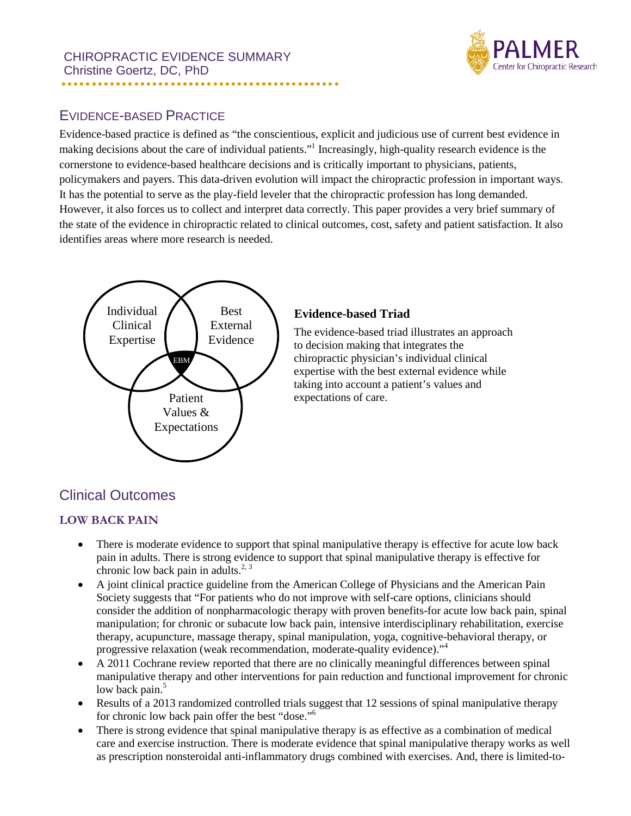

# EVIDENCE-BASED PRACTICE

Evidence-based practice is defined as "the conscientious, explicit and judicious use of current best evidence in making decisions about the care of individual patients."1 Increasingly, high-quality research evidence is the cornerstone to evidence-based healthcare decisions and is critically important to physicians, patients, policymakers and payers. This data-driven evolution will impact the chiropractic profession in important ways. It has the potential to serve as the play-field leveler that the chiropractic profession has long demanded. However, it also forces us to collect and interpret data correctly. This paper provides a very brief summary of the state of the evidence in chiropractic related to clinical outcomes, cost, safety and patient satisfaction. It also identifies areas where more research is needed.



### **Evidence-based Triad**

The evidence-based triad illustrates an approach to decision making that integrates the chiropractic physician's individual clinical expertise with the best external evidence while taking into account a patient's values and expectations of care.

# Clinical Outcomes

### **LOW BACK PAIN**

- There is moderate evidence to support that spinal manipulative therapy is effective for acute low back pain in adults. There is strong evidence to support that spinal manipulative therapy is effective for chronic low back pain in adults.<sup>2, 3</sup>
- A joint clinical practice guideline from the American College of Physicians and the American Pain Society suggests that "For patients who do not improve with self-care options, clinicians should consider the addition of nonpharmacologic therapy with proven benefits-for acute low back pain, spinal manipulation; for chronic or subacute low back pain, intensive interdisciplinary rehabilitation, exercise therapy, acupuncture, massage therapy, spinal manipulation, yoga, cognitive-behavioral therapy, or progressive relaxation (weak recommendation, moderate-quality evidence)."<sup>4</sup>
- A 2011 Cochrane review reported that there are no clinically meaningful differences between spinal manipulative therapy and other interventions for pain reduction and functional improvement for chronic low back pain.<sup>5</sup>
- Results of a 2013 randomized controlled trials suggest that 12 sessions of spinal manipulative therapy for chronic low back pain offer the best "dose."<sup>6</sup>
- There is strong evidence that spinal manipulative therapy is as effective as a combination of medical care and exercise instruction. There is moderate evidence that spinal manipulative therapy works as well as prescription nonsteroidal anti-inflammatory drugs combined with exercises. And, there is limited-to-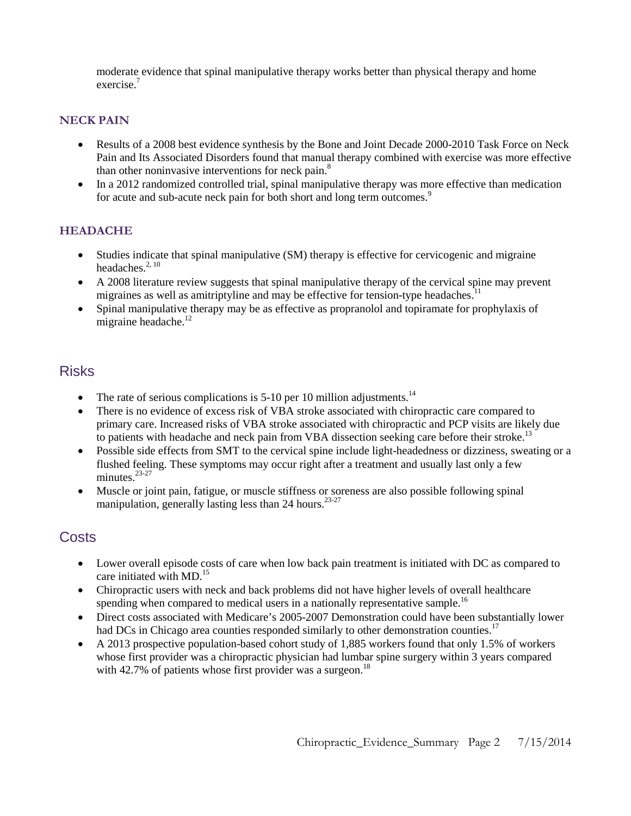moderate evidence that spinal manipulative therapy works better than physical therapy and home exercise.<sup>7</sup>

#### **NECK PAIN**

- Results of a 2008 best evidence synthesis by the Bone and Joint Decade 2000-2010 Task Force on Neck Pain and Its Associated Disorders found that manual therapy combined with exercise was more effective than other noninvasive interventions for neck pain.<sup>8</sup>
- In a 2012 randomized controlled trial, spinal manipulative therapy was more effective than medication for acute and sub-acute neck pain for both short and long term outcomes.<sup>9</sup>

#### **HEADACHE**

- Studies indicate that spinal manipulative (SM) therapy is effective for cervicogenic and migraine headaches.<sup>2, 10</sup>
- A 2008 literature review suggests that spinal manipulative therapy of the cervical spine may prevent migraines as well as amitriptyline and may be effective for tension-type headaches.<sup>1</sup>
- Spinal manipulative therapy may be as effective as propranolol and topiramate for prophylaxis of migraine headache.<sup>12</sup>

## Risks

- The rate of serious complications is  $5\n-10$  per 10 million adjustments.<sup>14</sup>
- There is no evidence of excess risk of VBA stroke associated with chiropractic care compared to primary care. Increased risks of VBA stroke associated with chiropractic and PCP visits are likely due to patients with headache and neck pain from VBA dissection seeking care before their stroke.<sup>13</sup>
- Possible side effects from SMT to the cervical spine include light-headedness or dizziness, sweating or a flushed feeling. These symptoms may occur right after a treatment and usually last only a few minutes $^{23-27}$
- Muscle or joint pain, fatigue, or muscle stiffness or soreness are also possible following spinal manipulation, generally lasting less than 24 hours.<sup>23-27</sup>

## **Costs**

- Lower overall episode costs of care when low back pain treatment is initiated with DC as compared to care initiated with MD. 15
- Chiropractic users with neck and back problems did not have higher levels of overall healthcare spending when compared to medical users in a nationally representative sample.<sup>16</sup>
- Direct costs associated with Medicare's 2005-2007 Demonstration could have been substantially lower had DCs in Chicago area counties responded similarly to other demonstration counties.<sup>17</sup>
- A 2013 prospective population-based cohort study of 1,885 workers found that only 1.5% of workers whose first provider was a chiropractic physician had lumbar spine surgery within 3 years compared with 42.7% of patients whose first provider was a surgeon.<sup>18</sup>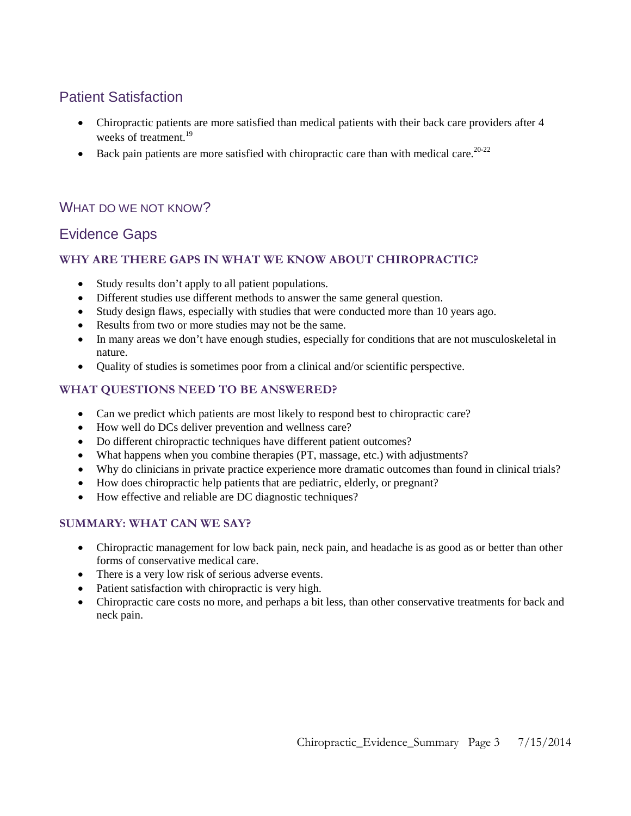# Patient Satisfaction

- Chiropractic patients are more satisfied than medical patients with their back care providers after 4 weeks of treatment.<sup>19</sup>
- Back pain patients are more satisfied with chiropractic care than with medical care.<sup>20-22</sup>

## WHAT DO WE NOT KNOW?

## Evidence Gaps

### **WHY ARE THERE GAPS IN WHAT WE KNOW ABOUT CHIROPRACTIC?**

- Study results don't apply to all patient populations.
- Different studies use different methods to answer the same general question.
- Study design flaws, especially with studies that were conducted more than 10 years ago.
- Results from two or more studies may not be the same.
- In many areas we don't have enough studies, especially for conditions that are not musculoskeletal in nature.
- Quality of studies is sometimes poor from a clinical and/or scientific perspective.

### **WHAT QUESTIONS NEED TO BE ANSWERED?**

- Can we predict which patients are most likely to respond best to chiropractic care?
- How well do DCs deliver prevention and wellness care?
- Do different chiropractic techniques have different patient outcomes?
- What happens when you combine therapies (PT, massage, etc.) with adjustments?
- Why do clinicians in private practice experience more dramatic outcomes than found in clinical trials?
- How does chiropractic help patients that are pediatric, elderly, or pregnant?
- How effective and reliable are DC diagnostic techniques?

### **SUMMARY: WHAT CAN WE SAY?**

- Chiropractic management for low back pain, neck pain, and headache is as good as or better than other forms of conservative medical care.
- There is a very low risk of serious adverse events.
- Patient satisfaction with chiropractic is very high.
- Chiropractic care costs no more, and perhaps a bit less, than other conservative treatments for back and neck pain.